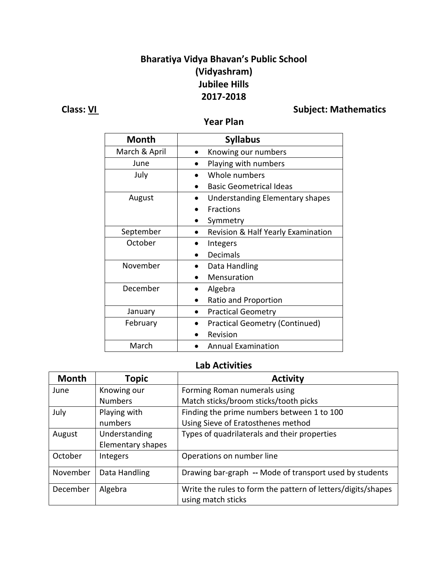## **Bharatiya Vidya Bhavan's Public School (Vidyashram) Jubilee Hills 2017-2018**

# **Class:** <u>VI</u> **Class:** 201

### **Year Plan**

| <b>Month</b>  | <b>Syllabus</b>                       |
|---------------|---------------------------------------|
| March & April | Knowing our numbers                   |
| June          | Playing with numbers                  |
| July          | Whole numbers                         |
|               | <b>Basic Geometrical Ideas</b>        |
| August        | Understanding Elementary shapes       |
|               | <b>Fractions</b>                      |
|               | Symmetry                              |
| September     | Revision & Half Yearly Examination    |
| October       | Integers                              |
|               | <b>Decimals</b>                       |
| November      | Data Handling                         |
|               | Mensuration                           |
| December      | Algebra                               |
|               | Ratio and Proportion                  |
| January       | <b>Practical Geometry</b>             |
| February      | <b>Practical Geometry (Continued)</b> |
|               | Revision                              |
| March         | <b>Annual Examination</b>             |

#### **Lab Activities**

| <b>Month</b> | Topic             | <b>Activity</b>                                              |
|--------------|-------------------|--------------------------------------------------------------|
| June         | Knowing our       | Forming Roman numerals using                                 |
|              | <b>Numbers</b>    | Match sticks/broom sticks/tooth picks                        |
| July         | Playing with      | Finding the prime numbers between 1 to 100                   |
|              | numbers           | Using Sieve of Eratosthenes method                           |
| August       | Understanding     | Types of quadrilaterals and their properties                 |
|              | Elementary shapes |                                                              |
| October      | Integers          | Operations on number line                                    |
| November     | Data Handling     | Drawing bar-graph -- Mode of transport used by students      |
| December     | Algebra           | Write the rules to form the pattern of letters/digits/shapes |
|              |                   | using match sticks                                           |